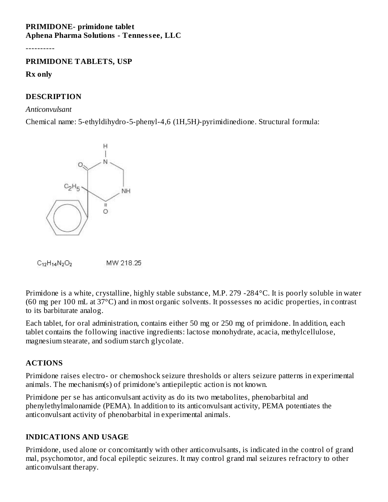#### **PRIMIDONE- primidone tablet Aphena Pharma Solutions - Tenness ee, LLC**

----------

#### **PRIMIDONE TABLETS, USP**

**Rx only**

#### **DESCRIPTION**

#### *Anticonvulsant*

Chemical name: 5-ethyldihydro-5-phenyl-4,6 (1H,5H*)*-pyrimidinedione. Structural formula:





Primidone is a white, crystalline, highly stable substance, M.P. 279 -284°C. It is poorly soluble in water (60 mg per 100 mL at 37°C) and in most organic solvents. It possesses no acidic properties, in contrast to its barbiturate analog.

Each tablet, for oral administration, contains either 50 mg or 250 mg of primidone. In addition, each tablet contains the following inactive ingredients: lactose monohydrate, acacia, methylcellulose, magnesium stearate, and sodium starch glycolate.

#### **ACTIONS**

Primidone raises electro- or chemoshock seizure thresholds or alters seizure patterns in experimental animals. The mechanism(s) of primidone's antiepileptic action is not known.

Primidone per se has anticonvulsant activity as do its two metabolites, phenobarbital and phenylethylmalonamide (PEMA). In addition to its anticonvulsant activity, PEMA potentiates the anticonvulsant activity of phenobarbital in experimental animals.

#### **INDICATIONS AND USAGE**

Primidone, used alone or concomitantly with other anticonvulsants, is indicated in the control of grand mal, psychomotor, and focal epileptic seizures. It may control grand mal seizures refractory to other anticonvulsant therapy.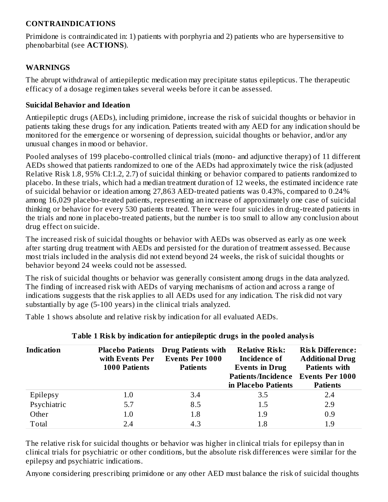#### **CONTRAINDICATIONS**

Primidone is contraindicated in: 1) patients with porphyria and 2) patients who are hypersensitive to phenobarbital (see **ACTIONS**).

#### **WARNINGS**

The abrupt withdrawal of antiepileptic medication may precipitate status epilepticus. The therapeutic efficacy of a dosage regimen takes several weeks before it can be assessed.

#### **Suicidal Behavior and Ideation**

Antiepileptic drugs (AEDs), including primidone, increase the risk of suicidal thoughts or behavior in patients taking these drugs for any indication. Patients treated with any AED for any indication should be monitored for the emergence or worsening of depression, suicidal thoughts or behavior, and/or any unusual changes in mood or behavior.

Pooled analyses of 199 placebo-controlled clinical trials (mono- and adjunctive therapy) of 11 different AEDs showed that patients randomized to one of the AEDs had approximately twice the risk (adjusted Relative Risk 1.8, 95% CI:1.2, 2.7) of suicidal thinking or behavior compared to patients randomized to placebo. In these trials, which had a median treatment duration of 12 weeks, the estimated incidence rate of suicidal behavior or ideation among 27,863 AED-treated patients was 0.43%, compared to 0.24% among 16,029 placebo-treated patients, representing an increase of approximately one case of suicidal thinking or behavior for every 530 patients treated. There were four suicides in drug-treated patients in the trials and none in placebo-treated patients, but the number is too small to allow any conclusion about drug effect on suicide.

The increased risk of suicidal thoughts or behavior with AEDs was observed as early as one week after starting drug treatment with AEDs and persisted for the duration of treatment assessed. Because most trials included in the analysis did not extend beyond 24 weeks, the risk of suicidal thoughts or behavior beyond 24 weeks could not be assessed.

The risk of suicidal thoughts or behavior was generally consistent among drugs in the data analyzed. The finding of increased risk with AEDs of varying mechanisms of action and across a range of indications suggests that the risk applies to all AEDs used for any indication. The risk did not vary substantially by age (5-100 years) in the clinical trials analyzed.

Table 1 shows absolute and relative risk by indication for all evaluated AEDs.

| <b>Indication</b> | with Events Per<br><b>1000 Patients</b> | <b>Placebo Patients</b> Drug Patients with<br><b>Events Per 1000</b><br><b>Patients</b> | <b>Relative Risk:</b><br>Incidence of<br><b>Events in Drug</b><br><b>Patients/Incidence Events Per 1000</b><br>in Placebo Patients | <b>Risk Difference:</b><br><b>Additional Drug</b><br><b>Patients with</b><br><b>Patients</b> |
|-------------------|-----------------------------------------|-----------------------------------------------------------------------------------------|------------------------------------------------------------------------------------------------------------------------------------|----------------------------------------------------------------------------------------------|
| Epilepsy          | $1.0\,$                                 | 3.4                                                                                     | 3.5                                                                                                                                | 2.4                                                                                          |
| Psychiatric       | 5.7                                     | 8.5                                                                                     | 1.5                                                                                                                                | 2.9                                                                                          |
| Other             | $1.0\,$                                 | 1.8                                                                                     | 1.9                                                                                                                                | 0.9                                                                                          |
| Total             | 2.4                                     | 4.3                                                                                     | 1.8                                                                                                                                | 1.9                                                                                          |

#### **Table 1 Risk by indication for antiepileptic drugs in the pooled analysis**

The relative risk for suicidal thoughts or behavior was higher in clinical trials for epilepsy than in clinical trials for psychiatric or other conditions, but the absolute risk differences were similar for the epilepsy and psychiatric indications.

Anyone considering prescribing primidone or any other AED must balance the risk of suicidal thoughts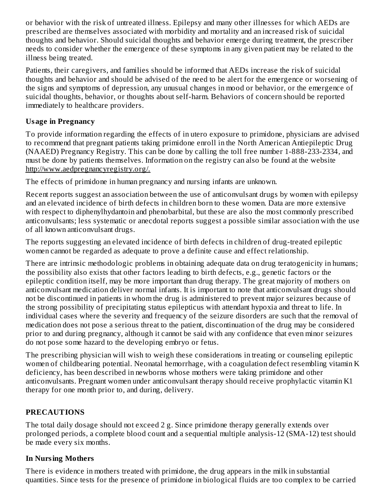or behavior with the risk of untreated illness. Epilepsy and many other illnesses for which AEDs are prescribed are themselves associated with morbidity and mortality and an increased risk of suicidal thoughts and behavior. Should suicidal thoughts and behavior emerge during treatment, the prescriber needs to consider whether the emergence of these symptoms in any given patient may be related to the illness being treated.

Patients, their caregivers, and families should be informed that AEDs increase the risk of suicidal thoughts and behavior and should be advised of the need to be alert for the emergence or worsening of the signs and symptoms of depression, any unusual changes in mood or behavior, or the emergence of suicidal thoughts, behavior, or thoughts about self-harm. Behaviors of concern should be reported immediately to healthcare providers.

## **Usage in Pregnancy**

To provide information regarding the effects of in utero exposure to primidone, physicians are advised to recommend that pregnant patients taking primidone enroll in the North American Antiepileptic Drug (NAAED) Pregnancy Registry. This can be done by calling the toll free number 1-888-233-2334, and must be done by patients themselves. Information on the registry can also be found at the website http://www.aedpregnancyregistry.org/.

The effects of primidone in human pregnancy and nursing infants are unknown.

Recent reports suggest an association between the use of anticonvulsant drugs by women with epilepsy and an elevated incidence of birth defects in children born to these women. Data are more extensive with respect to diphenylhydantoin and phenobarbital, but these are also the most commonly prescribed anticonvulsants; less systematic or anecdotal reports suggest a possible similar association with the use of all known anticonvulsant drugs.

The reports suggesting an elevated incidence of birth defects in children of drug-treated epileptic women cannot be regarded as adequate to prove a definite cause and effect relationship.

There are intrinsic methodologic problems in obtaining adequate data on drug teratogenicity in humans; the possibility also exists that other factors leading to birth defects, e.g., genetic factors or the epileptic condition itself, may be more important than drug therapy. The great majority of mothers on anticonvulsant medication deliver normal infants. It is important to note that anticonvulsant drugs should not be discontinued in patients in whom the drug is administered to prevent major seizures because of the strong possibility of precipitating status epilepticus with attendant hypoxia and threat to life. In individual cases where the severity and frequency of the seizure disorders are such that the removal of medication does not pose a serious threat to the patient, discontinuation of the drug may be considered prior to and during pregnancy, although it cannot be said with any confidence that even minor seizures do not pose some hazard to the developing embryo or fetus.

The prescribing physician will wish to weigh these considerations in treating or counseling epileptic women of childbearing potential. Neonatal hemorrhage, with a coagulation defect resembling vitamin K deficiency, has been described in newborns whose mothers were taking primidone and other anticonvulsants. Pregnant women under anticonvulsant therapy should receive prophylactic vitamin K1 therapy for one month prior to, and during, delivery.

# **PRECAUTIONS**

The total daily dosage should not exceed 2 g. Since primidone therapy generally extends over prolonged periods, a complete blood count and a sequential multiple analysis-12 (SMA-12) test should be made every six months.

# **In Nursing Mothers**

There is evidence in mothers treated with primidone, the drug appears in the milk in substantial quantities. Since tests for the presence of primidone in biological fluids are too complex to be carried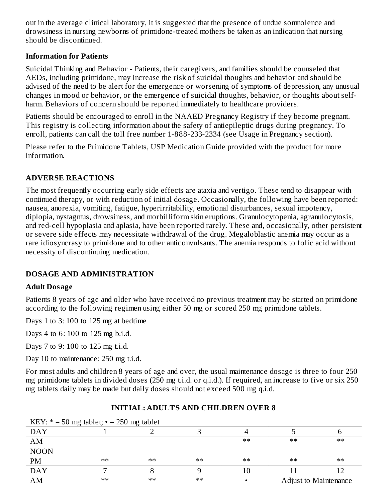out in the average clinical laboratory, it is suggested that the presence of undue somnolence and drowsiness in nursing newborns of primidone-treated mothers be taken as an indication that nursing should be discontinued.

#### **Information for Patients**

Suicidal Thinking and Behavior - Patients, their caregivers, and families should be counseled that AEDs, including primidone, may increase the risk of suicidal thoughts and behavior and should be advised of the need to be alert for the emergence or worsening of symptoms of depression, any unusual changes in mood or behavior, or the emergence of suicidal thoughts, behavior, or thoughts about selfharm. Behaviors of concern should be reported immediately to healthcare providers.

Patients should be encouraged to enroll in the NAAED Pregnancy Registry if they become pregnant. This registry is collecting information about the safety of antiepileptic drugs during pregnancy. To enroll, patients can call the toll free number 1-888-233-2334 (see Usage in Pregnancy section).

Please refer to the Primidone Tablets, USP Medication Guide provided with the product for more information.

## **ADVERSE REACTIONS**

The most frequently occurring early side effects are ataxia and vertigo. These tend to disappear with continued therapy, or with reduction of initial dosage. Occasionally, the following have been reported: nausea, anorexia, vomiting, fatigue, hyperirritability, emotional disturbances, sexual impotency, diplopia, nystagmus, drowsiness, and morbilliform skin eruptions. Granulocytopenia, agranulocytosis, and red-cell hypoplasia and aplasia, have been reported rarely. These and, occasionally, other persistent or severe side effects may necessitate withdrawal of the drug. Megaloblastic anemia may occur as a rare idiosyncrasy to primidone and to other anticonvulsants. The anemia responds to folic acid without necessity of discontinuing medication.

#### **DOSAGE AND ADMINISTRATION**

#### **Adult Dosage**

Patients 8 years of age and older who have received no previous treatment may be started on primidone according to the following regimen using either 50 mg or scored 250 mg primidone tablets.

Days 1 to 3: 100 to 125 mg at bedtime

Days 4 to 6: 100 to 125 mg b.i.d.

Days 7 to 9: 100 to 125 mg t.i.d.

Day 10 to maintenance: 250 mg t.i.d.

For most adults and children 8 years of age and over, the usual maintenance dosage is three to four 250 mg primidone tablets in divided doses (250 mg t.i.d. or q.i.d.). If required, an increase to five or six 250 mg tablets daily may be made but daily doses should not exceed 500 mg q.i.d.

| KEY: $* = 50$ mg tablet; $\cdot = 250$ mg tablet |       |       |       |      |                              |       |  |
|--------------------------------------------------|-------|-------|-------|------|------------------------------|-------|--|
| <b>DAY</b>                                       |       |       |       |      |                              |       |  |
| AM                                               |       |       |       | $**$ | $***$                        | $**$  |  |
| <b>NOON</b>                                      |       |       |       |      |                              |       |  |
| PM                                               | $**$  | $**$  | $**$  | $**$ | $***$                        | $***$ |  |
| <b>DAY</b>                                       |       |       |       | 10   |                              |       |  |
| AM                                               | $***$ | $***$ | $***$ |      | <b>Adjust to Maintenance</b> |       |  |

# **INITIAL: ADULTS AND CHILDREN OVER 8**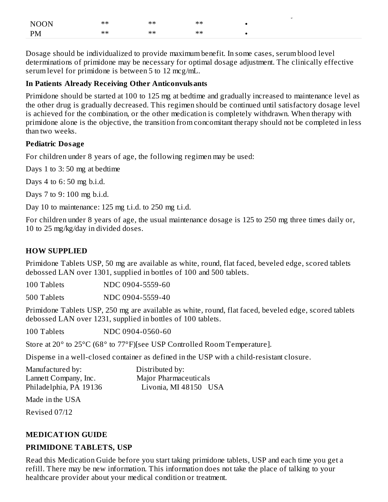| <b>NOON</b> | $**$ | $**$ | ** |  |
|-------------|------|------|----|--|
| <b>PM</b>   | **   | $**$ | ** |  |

 $\mathcal{A}^{\mathcal{A}}$ 

Dosage should be individualized to provide maximum benefit. In some cases, serum blood level determinations of primidone may be necessary for optimal dosage adjustment. The clinically effective serum level for primidone is between 5 to 12 mcg/mL.

#### **In Patients Already Receiving Other Anticonvulsants**

Primidone should be started at 100 to 125 mg at bedtime and gradually increased to maintenance level as the other drug is gradually decreased. This regimen should be continued until satisfactory dosage level is achieved for the combination, or the other medication is completely withdrawn. When therapy with primidone alone is the objective, the transition from concomitant therapy should not be completed in less than two weeks.

#### **Pediatric Dosage**

For children under 8 years of age, the following regimen may be used:

Days 1 to 3: 50 mg at bedtime

Days 4 to 6: 50 mg b.i.d.

Days 7 to 9: 100 mg b.i.d.

Day 10 to maintenance: 125 mg t.i.d. to 250 mg t.i.d.

For children under 8 years of age, the usual maintenance dosage is 125 to 250 mg three times daily or, 10 to 25 mg/kg/day in divided doses.

#### **HOW SUPPLIED**

Primidone Tablets USP, 50 mg are available as white, round, flat faced, beveled edge, scored tablets debossed LAN over 1301, supplied in bottles of 100 and 500 tablets.

100 Tablets NDC 0904-5559-60

500 Tablets NDC 0904-5559-40

Primidone Tablets USP, 250 mg are available as white, round, flat faced, beveled edge, scored tablets debossed LAN over 1231, supplied in bottles of 100 tablets.

100 Tablets NDC 0904-0560-60

Store at 20° to 25°C (68° to 77°F)[see USP Controlled Room Temperature].

Dispense in a well-closed container as defined in the USP with a child-resistant closure.

| Manufactured by:       | Distributed by:       |  |
|------------------------|-----------------------|--|
| Lannett Company, Inc.  | Major Pharmaceuticals |  |
| Philadelphia, PA 19136 | Livonia, MI 48150 USA |  |

Made in the USA

Revised 07/12

#### **MEDICATION GUIDE**

#### **PRIMIDONE TABLETS, USP**

Read this Medication Guide before you start taking primidone tablets, USP and each time you get a refill. There may be new information. This information does not take the place of talking to your healthcare provider about your medical condition or treatment.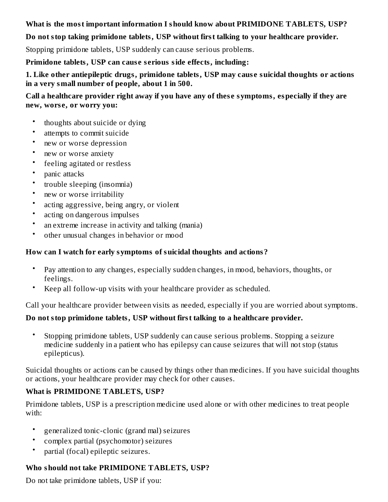#### **What is the most important information I should know about PRIMIDONE TABLETS, USP?**

#### **Do not stop taking primidone tablets, USP without first talking to your healthcare provider.**

Stopping primidone tablets, USP suddenly can cause serious problems.

**Primidone tablets, USP can caus e s erious side effects, including:**

**1. Like other antiepileptic drugs, primidone tablets, USP may caus e suicidal thoughts or actions in a very small number of people, about 1 in 500.**

#### **Call a healthcare provider right away if you have any of thes e symptoms, especially if they are new, wors e, or worry you:**

- thoughts about suicide or dying
- attempts to commit suicide
- new or worse depression
- new or worse anxiety
- feeling agitated or restless
- panic attacks
- trouble sleeping (insomnia)
- new or worse irritability
- acting aggressive, being angry, or violent
- acting on dangerous impulses
- an extreme increase in activity and talking (mania)
- other unusual changes in behavior or mood

#### **How can I watch for early symptoms of suicidal thoughts and actions?**

- Pay attention to any changes, especially sudden changes, in mood, behaviors, thoughts, or feelings.
- Keep all follow-up visits with your healthcare provider as scheduled.

Call your healthcare provider between visits as needed, especially if you are worried about symptoms.

#### **Do not stop primidone tablets, USP without first talking to a healthcare provider.**

• Stopping primidone tablets, USP suddenly can cause serious problems. Stopping a seizure medicine suddenly in a patient who has epilepsy can cause seizures that will not stop (status epilepticus).

Suicidal thoughts or actions can be caused by things other than medicines. If you have suicidal thoughts or actions, your healthcare provider may check for other causes.

#### **What is PRIMIDONE TABLETS, USP?**

Primidone tablets, USP is a prescription medicine used alone or with other medicines to treat people with:

- generalized tonic-clonic (grand mal) seizures
- complex partial (psychomotor) seizures
- partial (focal) epileptic seizures.

#### **Who should not take PRIMIDONE TABLETS, USP?**

Do not take primidone tablets, USP if you: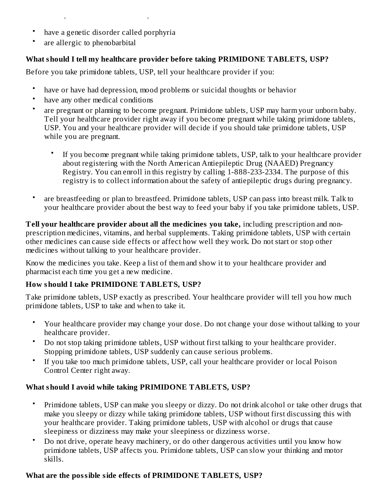• have a genetic disorder called porphyria

Do not take primidone tablets, USP if you:

• are allergic to phenobarbital

# **What should I tell my healthcare provider before taking PRIMIDONE TABLETS, USP?**

Before you take primidone tablets, USP, tell your healthcare provider if you:

- have or have had depression, mood problems or suicidal thoughts or behavior
- have any other medical conditions
- are pregnant or planning to become pregnant. Primidone tablets, USP may harm your unborn baby. Tell your healthcare provider right away if you become pregnant while taking primidone tablets, USP. You and your healthcare provider will decide if you should take primidone tablets, USP while you are pregnant.
	- If you become pregnant while taking primidone tablets, USP, talk to your healthcare provider about registering with the North American Antiepileptic Drug (NAAED) Pregnancy Registry. You can enroll in this registry by calling 1-888-233-2334. The purpose of this registry is to collect information about the safety of antiepileptic drugs during pregnancy.
- are breastfeeding or plan to breastfeed. Primidone tablets, USP can pass into breast milk. Talk to your healthcare provider about the best way to feed your baby if you take primidone tablets, USP.

**Tell your healthcare provider about all the medicines you take,** including prescription and nonprescription medicines, vitamins, and herbal supplements. Taking primidone tablets, USP with certain other medicines can cause side effects or affect how well they work. Do not start or stop other medicines without talking to your healthcare provider.

Know the medicines you take. Keep a list of them and show it to your healthcare provider and pharmacist each time you get a new medicine.

# **How should I take PRIMIDONE TABLETS, USP?**

Take primidone tablets, USP exactly as prescribed. Your healthcare provider will tell you how much primidone tablets, USP to take and when to take it.

- Your healthcare provider may change your dose. Do not change your dose without talking to your healthcare provider.
- Do not stop taking primidone tablets, USP without first talking to your healthcare provider. Stopping primidone tablets, USP suddenly can cause serious problems.
- If you take too much primidone tablets, USP, call your healthcare provider or local Poison Control Center right away.

# **What should I avoid while taking PRIMIDONE TABLETS, USP?**

- Primidone tablets, USP can make you sleepy or dizzy. Do not drink alcohol or take other drugs that make you sleepy or dizzy while taking primidone tablets, USP without first discussing this with your healthcare provider. Taking primidone tablets, USP with alcohol or drugs that cause sleepiness or dizziness may make your sleepiness or dizziness worse.
- Do not drive, operate heavy machinery, or do other dangerous activities until you know how primidone tablets, USP affects you. Primidone tablets, USP can slow your thinking and motor skills.

# **What are the possible side effects of PRIMIDONE TABLETS, USP?**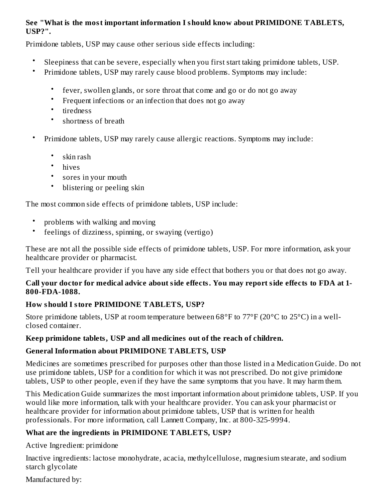#### **See "What is the most important information I should know about PRIMIDONE TABLETS, USP?".**

Primidone tablets, USP may cause other serious side effects including:

- Sleepiness that can be severe, especially when you first start taking primidone tablets, USP.
- Primidone tablets, USP may rarely cause blood problems. Symptoms may include:
	- fever, swollen glands, or sore throat that come and go or do not go away
	- Frequent infections or an infection that does not go away
	- tiredness
	- shortness of breath
- Primidone tablets, USP may rarely cause allergic reactions. Symptoms may include:
	- skin rash
	- hives
	- sores in your mouth
	- blistering or peeling skin

The most common side effects of primidone tablets, USP include:

- problems with walking and moving
- feelings of dizziness, spinning, or swaying (vertigo)

These are not all the possible side effects of primidone tablets, USP. For more information, ask your healthcare provider or pharmacist.

Tell your healthcare provider if you have any side effect that bothers you or that does not go away.

#### **Call your doctor for medical advice about side effects. You may report side effects to FDA at 1- 800-FDA-1088.**

# **How should I store PRIMIDONE TABLETS, USP?**

Store primidone tablets, USP at room temperature between 68°F to 77°F (20°C to 25°C) in a wellclosed container.

#### **Keep primidone tablets, USP and all medicines out of the reach of children.**

# **General Information about PRIMIDONE TABLETS, USP**

Medicines are sometimes prescribed for purposes other than those listed in a Medication Guide. Do not use primidone tablets, USP for a condition for which it was not prescribed. Do not give primidone tablets, USP to other people, even if they have the same symptoms that you have. It may harm them.

This Medication Guide summarizes the most important information about primidone tablets, USP. If you would like more information, talk with your healthcare provider. You can ask your pharmacist or healthcare provider for information about primidone tablets, USP that is written for health professionals. For more information, call Lannett Company, Inc. at 800-325-9994.

# **What are the ingredients in PRIMIDONE TABLETS, USP?**

Active Ingredient: primidone

Inactive ingredients: lactose monohydrate, acacia, methylcellulose, magnesium stearate, and sodium starch glycolate

Manufactured by: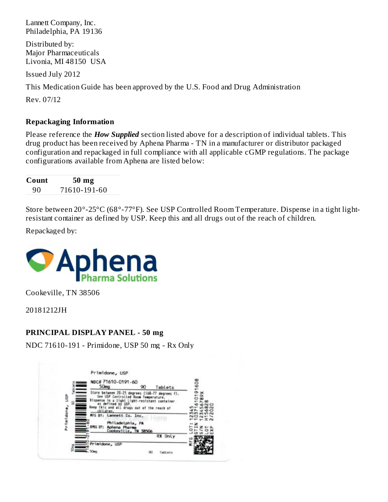Lannett Company, Inc. Philadelphia, PA 19136

Distributed by: Major Pharmaceuticals Livonia, MI 48150 USA

Issued July 2012

This Medication Guide has been approved by the U.S. Food and Drug Administration

Rev. 07/12

#### **Repackaging Information**

Please reference the *How Supplied* section listed above for a description of individual tablets. This drug product has been received by Aphena Pharma - TN in a manufacturer or distributor packaged configuration and repackaged in full compliance with all applicable cGMP regulations. The package configurations available from Aphena are listed below:

| Count | 50 mg        |
|-------|--------------|
| 90    | 71610-191-60 |

Store between 20°-25°C (68°-77°F). See USP Controlled Room Temperature. Dispense in a tight lightresistant container as defined by USP. Keep this and all drugs out of the reach of children.

Repackaged by:



Cookeville, TN 38506

20181212JH

#### **PRINCIPAL DISPLAY PANEL - 50 mg**

NDC 71610-191 - Primidone, USP 50 mg - Rx Only